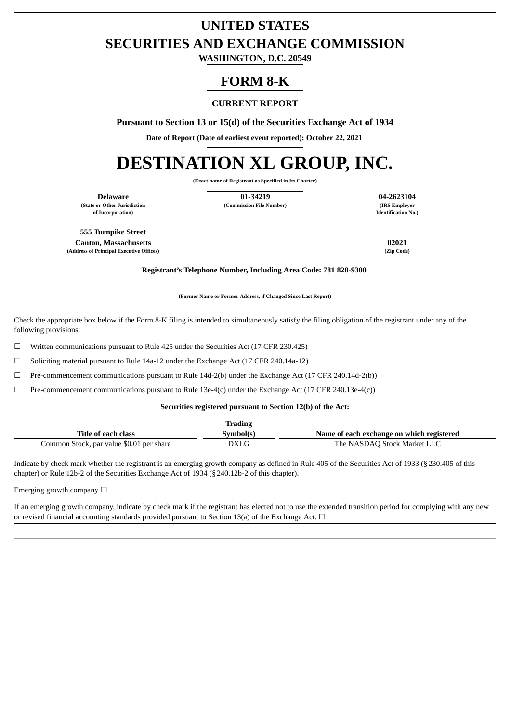## **UNITED STATES SECURITIES AND EXCHANGE COMMISSION**

**WASHINGTON, D.C. 20549**

### **FORM 8-K**

### **CURRENT REPORT**

**Pursuant to Section 13 or 15(d) of the Securities Exchange Act of 1934**

**Date of Report (Date of earliest event reported): October 22, 2021**

# **DESTINATION XL GROUP, INC.**

**(Exact name of Registrant as Specified in Its Charter)**

**(State or Other Jurisdiction of Incorporation)**

**Delaware 01-34219 04-2623104 (Commission File Number) (IRS Employer**

**Identification No.)**

**555 Turnpike Street Canton, Massachusetts 02021 (Address of Principal Executive Offices) (Zip Code)**

**Registrant's Telephone Number, Including Area Code: 781 828-9300**

**(Former Name or Former Address, if Changed Since Last Report)**

Check the appropriate box below if the Form 8-K filing is intended to simultaneously satisfy the filing obligation of the registrant under any of the following provisions:

 $\Box$  Written communications pursuant to Rule 425 under the Securities Act (17 CFR 230.425)

☐ Soliciting material pursuant to Rule 14a-12 under the Exchange Act (17 CFR 240.14a-12)

☐ Pre-commencement communications pursuant to Rule 14d-2(b) under the Exchange Act (17 CFR 240.14d-2(b))

 $\Box$  Pre-commencement communications pursuant to Rule 13e-4(c) under the Exchange Act (17 CFR 240.13e-4(c))

#### **Securities registered pursuant to Section 12(b) of the Act:**

|                                          | <b>Trading</b> |                                           |
|------------------------------------------|----------------|-------------------------------------------|
| Title of each class                      | Symbol(s)      | Name of each exchange on which registered |
| Common Stock, par value \$0.01 per share | DXLG           | The NASDAQ Stock Market LLC               |

Indicate by check mark whether the registrant is an emerging growth company as defined in Rule 405 of the Securities Act of 1933 (§230.405 of this chapter) or Rule 12b-2 of the Securities Exchange Act of 1934 (§240.12b-2 of this chapter).

Emerging growth company  $\Box$ 

If an emerging growth company, indicate by check mark if the registrant has elected not to use the extended transition period for complying with any new or revised financial accounting standards provided pursuant to Section 13(a) of the Exchange Act.  $\Box$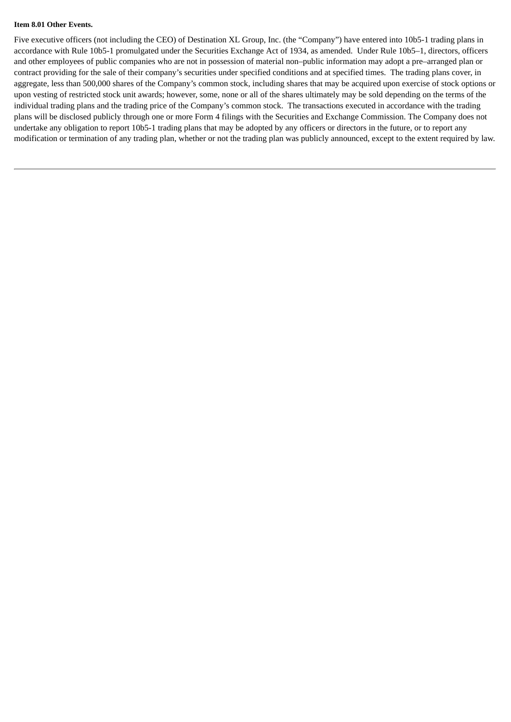### **Item 8.01 Other Events.**

Five executive officers (not including the CEO) of Destination XL Group, Inc. (the "Company") have entered into 10b5-1 trading plans in accordance with Rule 10b5-1 promulgated under the Securities Exchange Act of 1934, as amended. Under Rule 10b5–1, directors, officers and other employees of public companies who are not in possession of material non–public information may adopt a pre–arranged plan or contract providing for the sale of their company's securities under specified conditions and at specified times. The trading plans cover, in aggregate, less than 500,000 shares of the Company's common stock, including shares that may be acquired upon exercise of stock options or upon vesting of restricted stock unit awards; however, some, none or all of the shares ultimately may be sold depending on the terms of the individual trading plans and the trading price of the Company's common stock. The transactions executed in accordance with the trading plans will be disclosed publicly through one or more Form 4 filings with the Securities and Exchange Commission. The Company does not undertake any obligation to report 10b5-1 trading plans that may be adopted by any officers or directors in the future, or to report any modification or termination of any trading plan, whether or not the trading plan was publicly announced, except to the extent required by law.